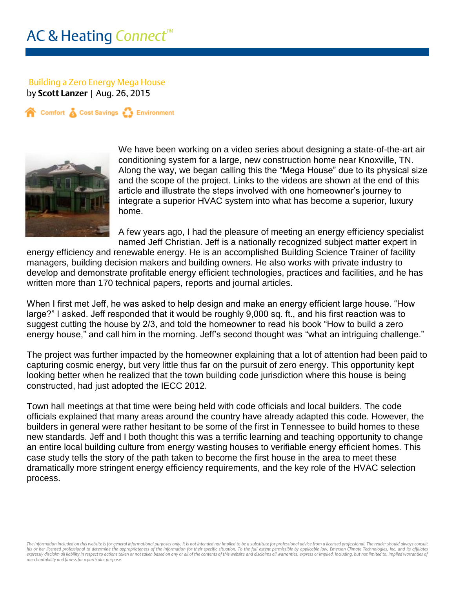## Building a Zero Energy Mega House

by **Scott Lanzer** | Aug. 26, 2015

Comfort & Cost Savings & Environment



We have been working on a video series about designing a state-of-the-art air conditioning system for a large, new construction home near Knoxville, TN. Along the way, we began calling this the "Mega House" due to its physical size and the scope of the project. Links to the videos are shown at the end of this article and illustrate the steps involved with one homeowner's journey to integrate a superior HVAC system into what has become a superior, luxury home.

A few years ago, I had the pleasure of meeting an energy efficiency specialist named Jeff Christian. Jeff is a nationally recognized subject matter expert in

energy efficiency and renewable energy. He is an accomplished Building Science Trainer of facility managers, building decision makers and building owners. He also works with private industry to develop and demonstrate profitable energy efficient technologies, practices and facilities, and he has written more than 170 technical papers, reports and journal articles.

When I first met Jeff, he was asked to help design and make an energy efficient large house. "How large?" I asked. Jeff responded that it would be roughly 9,000 sq. ft., and his first reaction was to suggest cutting the house by 2/3, and told the homeowner to read his book "How to build a zero energy house," and call him in the morning. Jeff's second thought was "what an intriguing challenge."

The project was further impacted by the homeowner explaining that a lot of attention had been paid to capturing cosmic energy, but very little thus far on the pursuit of zero energy. This opportunity kept looking better when he realized that the town building code jurisdiction where this house is being constructed, had just adopted the IECC 2012.

Town hall meetings at that time were being held with code officials and local builders. The code officials explained that many areas around the country have already adapted this code. However, the builders in general were rather hesitant to be some of the first in Tennessee to build homes to these new standards. Jeff and I both thought this was a terrific learning and teaching opportunity to change an entire local building culture from energy wasting houses to verifiable energy efficient homes. This case study tells the story of the path taken to become the first house in the area to meet these dramatically more stringent energy efficiency requirements, and the key role of the HVAC selection process.

The information included on this website is for general informational purposes only. It is not intended nor implied to be a substitute for professional advice from a licensed professional. The reader should always consult his or her licensed professional to determine the appropriateness of the information for their specific situation. To the full extent permissible by applicable law, Emerson Climate Technologies, Inc. and its affiliates expressly disclaim all liability in respect to actions taken or not taken based on any or all of the contents of this website and disclaims all warranties, express or implied, including, but not limited to, implied warrant *merchantability and fitness for a particular purpose.*